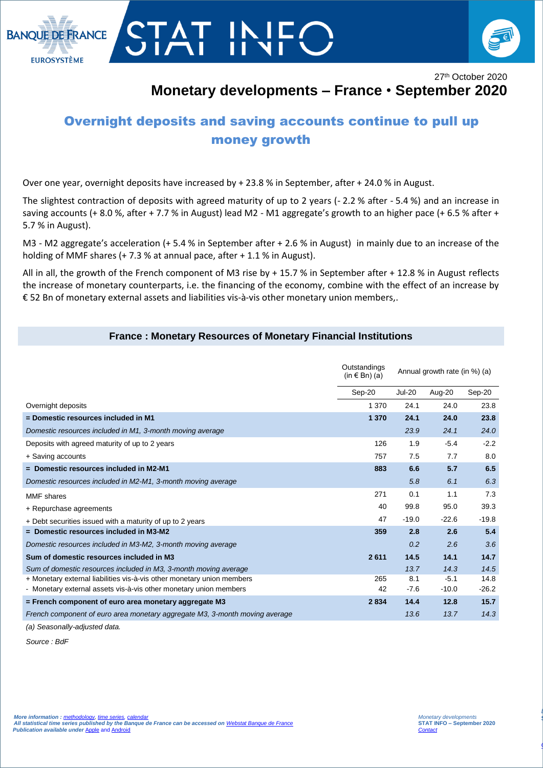



27<sup>th</sup> October 2020 **Monetary developments – France** • **September 2020**

## Overnight deposits and saving accounts continue to pull up money growth

Over one year, overnight deposits have increased by + 23.8 % in September, after + 24.0 % in August.

The slightest contraction of deposits with agreed maturity of up to 2 years (- 2.2 % after - 5.4 %) and an increase in saving accounts (+ 8.0 %, after + 7.7 % in August) lead M2 - M1 aggregate's growth to an higher pace (+ 6.5 % after + 5.7 % in August).

M3 - M2 aggregate's acceleration (+ 5.4 % in September after + 2.6 % in August) in mainly due to an increase of the holding of MMF shares (+ 7.3 % at annual pace, after + 1.1 % in August).

All in all, the growth of the French component of M3 rise by + 15.7 % in September after + 12.8 % in August reflects the increase of monetary counterparts, i.e. the financing of the economy, combine with the effect of an increase by € 52 Bn of monetary external assets and liabilities vis-à-vis other monetary union members,.

## **France : Monetary Resources of Monetary Financial Institutions**

|                                                                             | Outstandings<br>(in $\in$ Bn) (a) | Annual growth rate (in %) (a) |         |         |
|-----------------------------------------------------------------------------|-----------------------------------|-------------------------------|---------|---------|
|                                                                             | Sep-20                            | <b>Jul-20</b>                 | Aug-20  | Sep-20  |
| Overnight deposits                                                          | 1 3 7 0                           | 24.1                          | 24.0    | 23.8    |
| = Domestic resources included in M1                                         | 1 3 7 0                           | 24.1                          | 24.0    | 23.8    |
| Domestic resources included in M1, 3-month moving average                   |                                   | 23.9                          | 24.1    | 24.0    |
| Deposits with agreed maturity of up to 2 years                              | 126                               | 1.9                           | $-5.4$  | $-2.2$  |
| + Saving accounts                                                           | 757                               | 7.5                           | 7.7     | 8.0     |
| $=$ Domestic resources included in M2-M1                                    | 883                               | 6.6                           | 5.7     | 6.5     |
| Domestic resources included in M2-M1, 3-month moving average                |                                   | 5.8                           | 6.1     | 6.3     |
| <b>MMF</b> shares                                                           | 271                               | 0.1                           | 1.1     | 7.3     |
| + Repurchase agreements                                                     | 40                                | 99.8                          | 95.0    | 39.3    |
| + Debt securities issued with a maturity of up to 2 years                   | 47                                | $-19.0$                       | $-22.6$ | $-19.8$ |
| $=$ Domestic resources included in M3-M2                                    | 359                               | 2.8                           | 2.6     | 5.4     |
| Domestic resources included in M3-M2, 3-month moving average                |                                   | 0.2                           | 2.6     | 3.6     |
| Sum of domestic resources included in M3                                    | 2611                              | 14.5                          | 14.1    | 14.7    |
| Sum of domestic resources included in M3, 3-month moving average            |                                   | 13.7                          | 14.3    | 14.5    |
| + Monetary external liabilities vis-à-vis other monetary union members      | 265                               | 8.1                           | $-5.1$  | 14.8    |
| - Monetary external assets vis-à-vis other monetary union members           | 42                                | $-7.6$                        | $-10.0$ | $-26.2$ |
| = French component of euro area monetary aggregate M3                       | 2834                              | 14.4                          | 12.8    | 15.7    |
| French component of euro area monetary aggregate M3, 3-month moving average |                                   | 13.6                          | 13.7    | 14.3    |

*(a) Seasonally-adjusted data.*

*Source : BdF*

I

*La balance des paiements*  **STAT INFO – novembre 2016**

*[Contact Stat Info Balance des Paiements](mailto:1562-CENTRAL-UT@banque-france.fr?subject=[Support%20Statistique]%20Balance%20des%20paiements)*